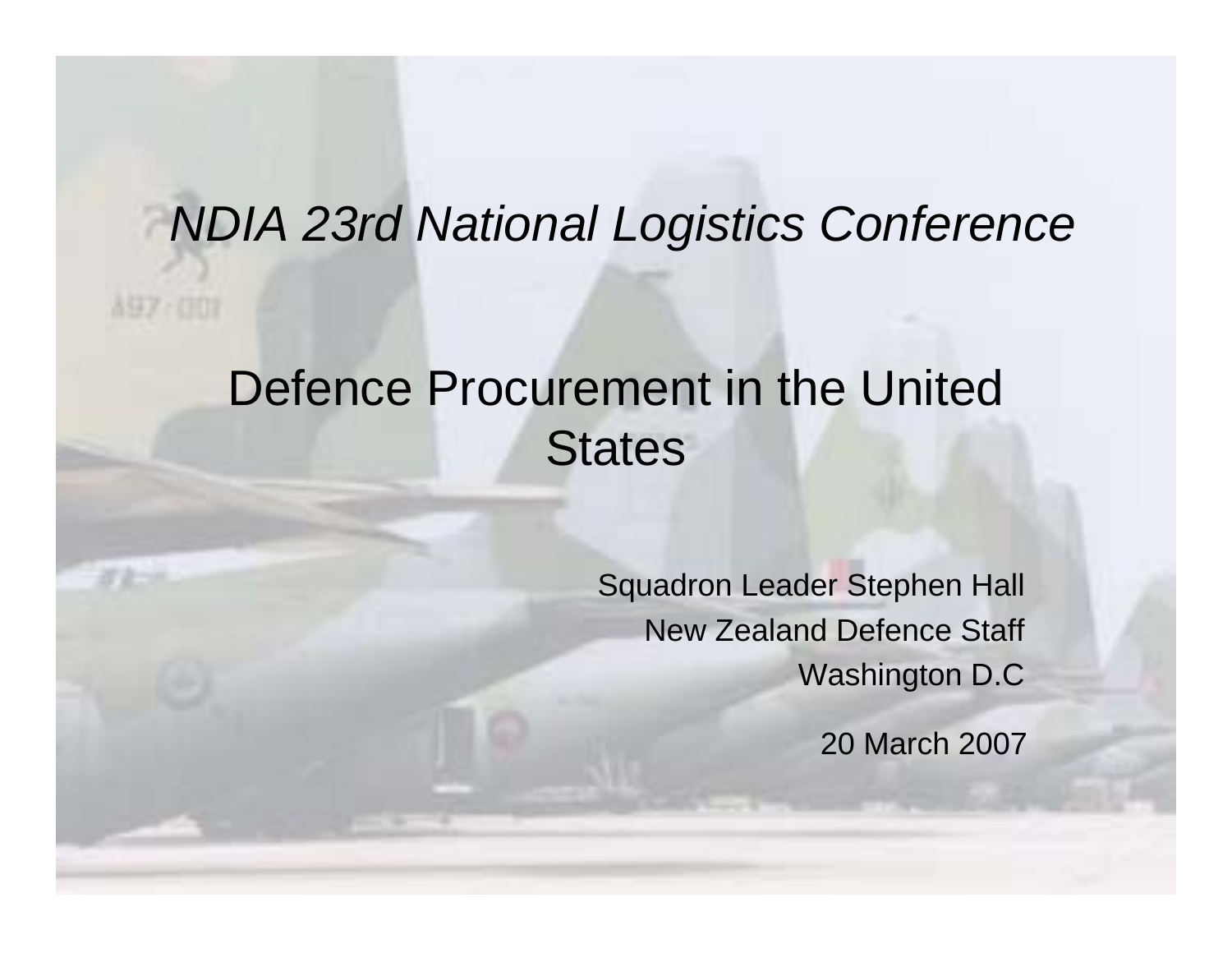#### *NDIA 23rd National Logistics Conference*

A97-007

#### Defence Procurement in the United **States**

Squadron Leader Stephen Hall New Zealand Defence Staff Washington D.C

20 March 2007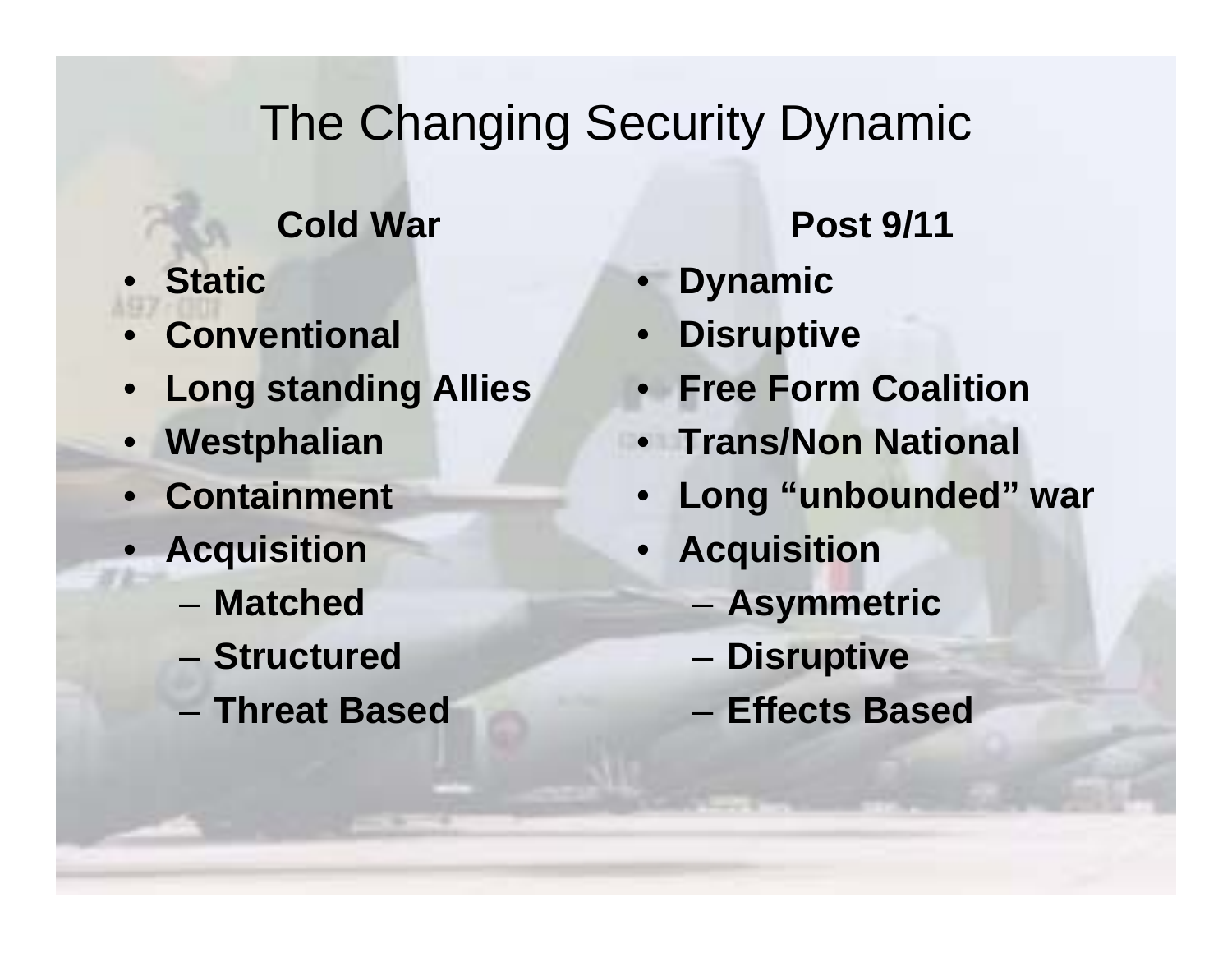#### The Changing Security Dynamic

**Cold War Post 9/11**

- **Static**
- **Conventional**
- •**Long standing Allies**
- **Westphalian**
- **Containment**
- **Acquisition**
	- **Matched**
	- **Structured**
	- **Threat Based**

- **Dynamic**
- •**Disruptive**
- **Free Form Coalition**
- **Trans/Non National**
- **Long "unbounded" war**
- • **Acquisition**
	- –**Asymmetric**
	- –**Disruptive**
	- **Effects Based**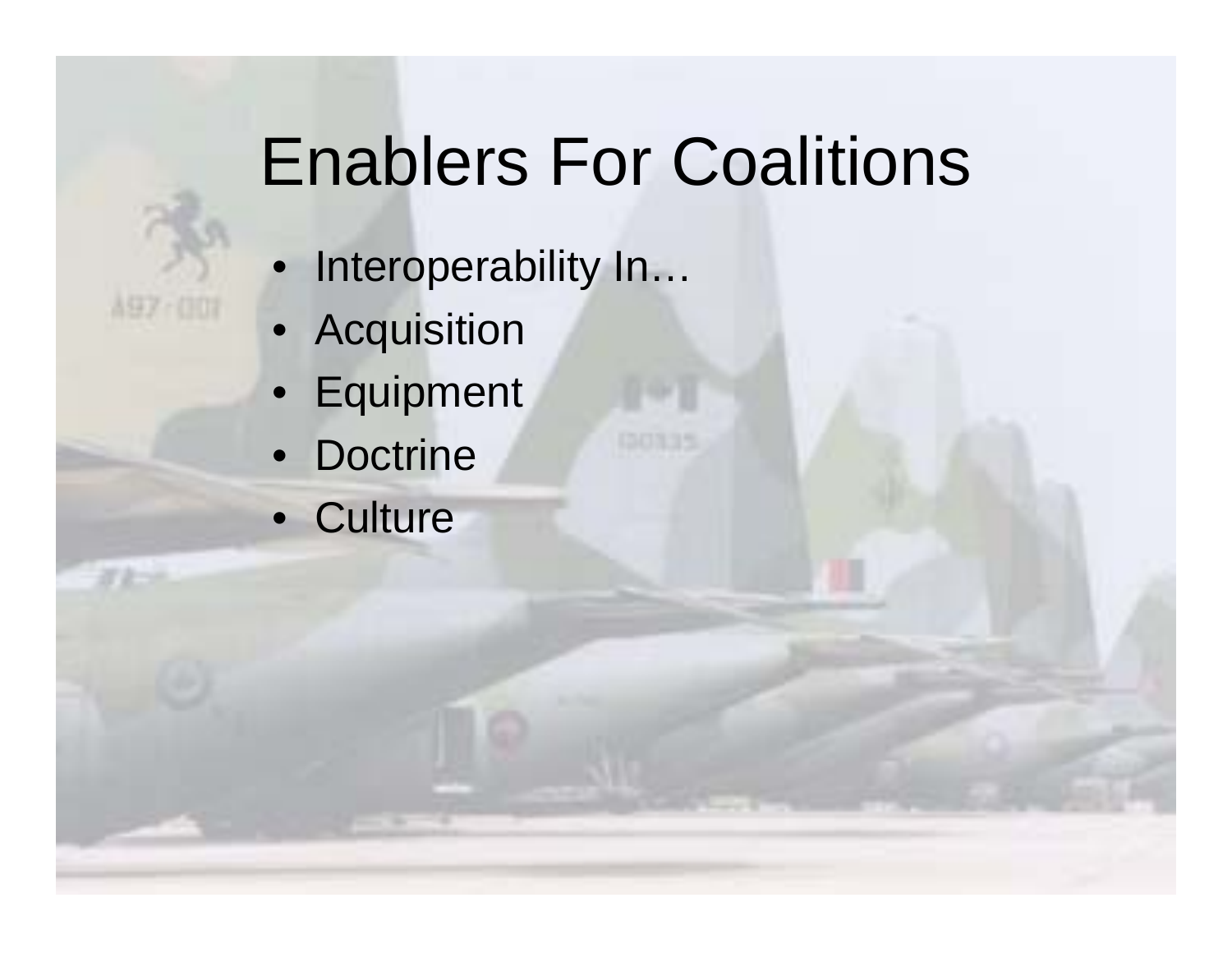# Enablers For Coalitions

- Interoperability In...
- Acquisition

A97 (00)

- Equipment
- Doctrine
- Culture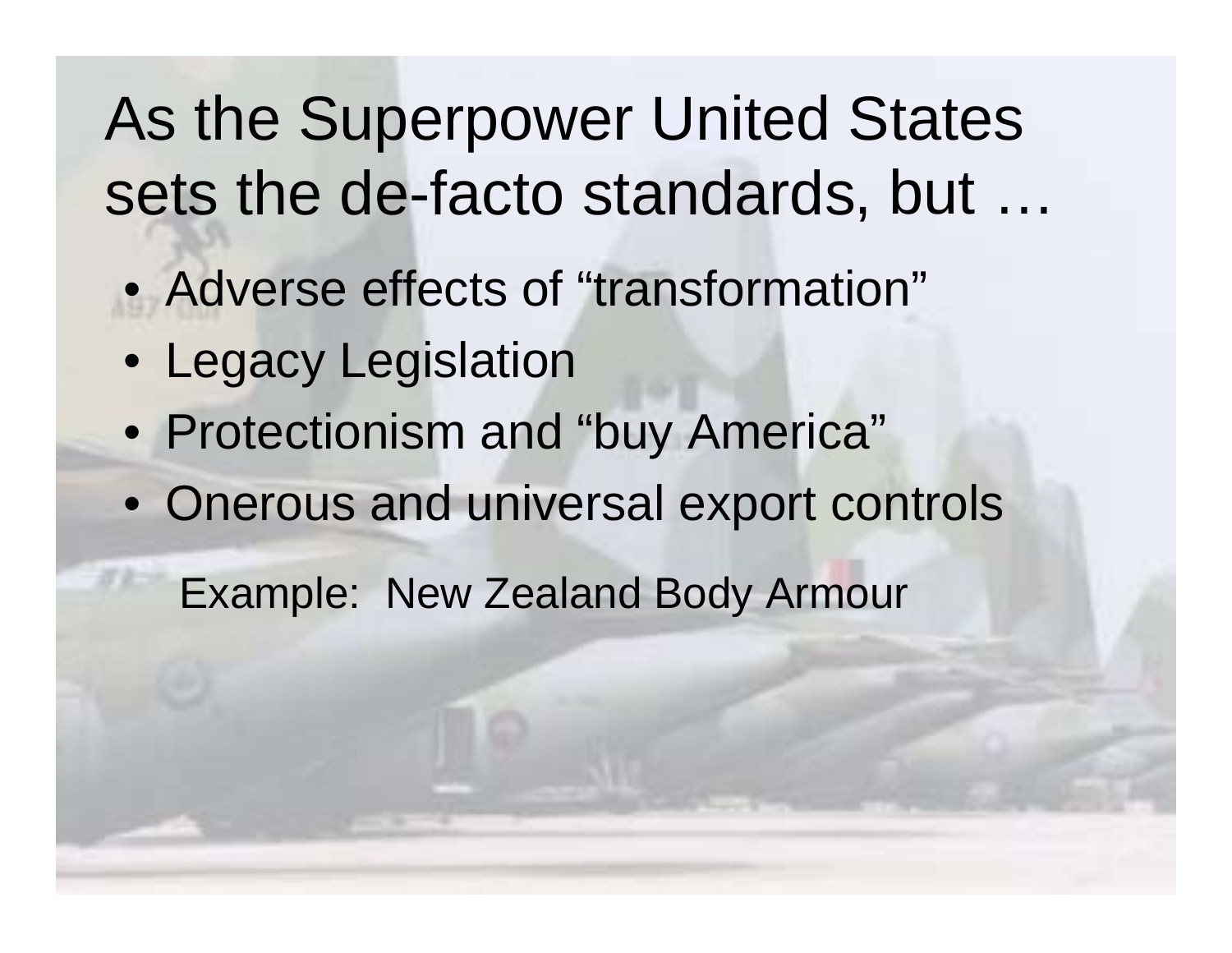## As the Superpower United States sets the de-facto standards, but ...

- Adverse effects of "transformation"
- Legacy Legislation
- Protectionism and "buy America"
- Onerous and universal export controls

Example: New Zealand Body Armour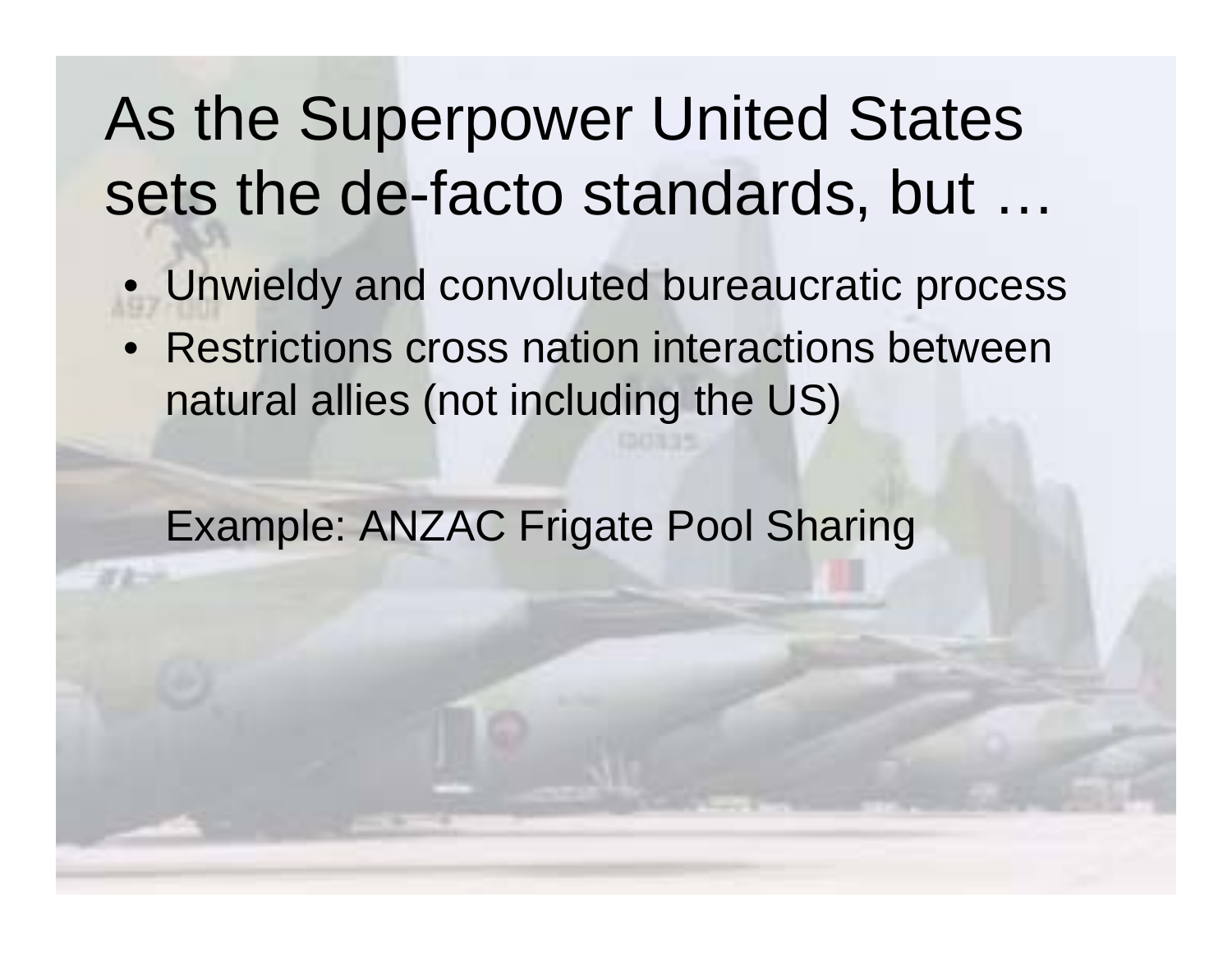## As the Superpower United States sets the de-facto standards, but ...

- •Unwieldy and convoluted bureaucratic process
- Restrictions cross nation interactions between natural allies (not including the US)

Example: ANZAC Frigate Pool Sharing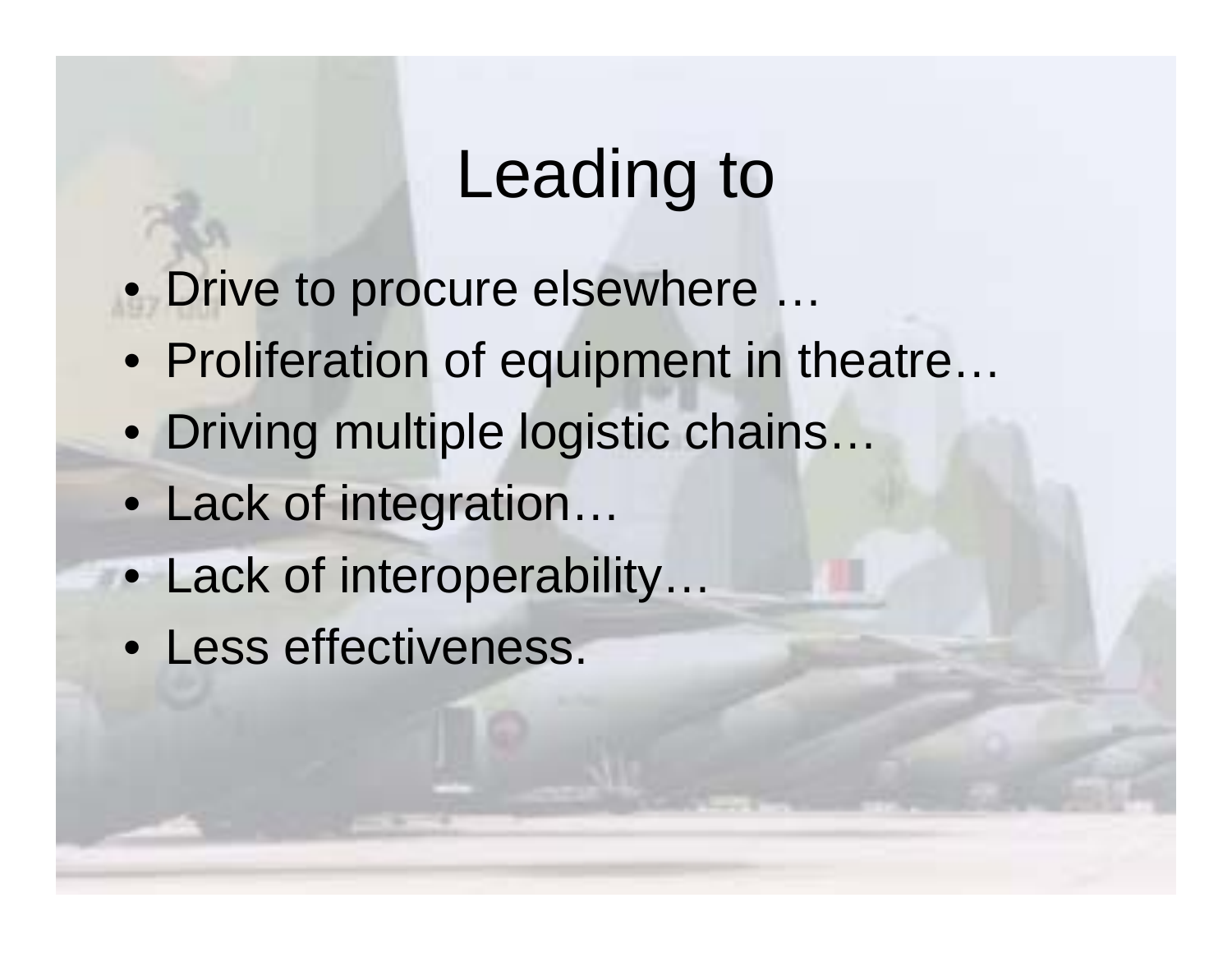## Leading to

- Drive to procure elsewhere …
- Proliferation of equipment in theatre…
- Driving multiple logistic chains…
- Lack of integration…
- Lack of interoperability…
- Less effectiveness.